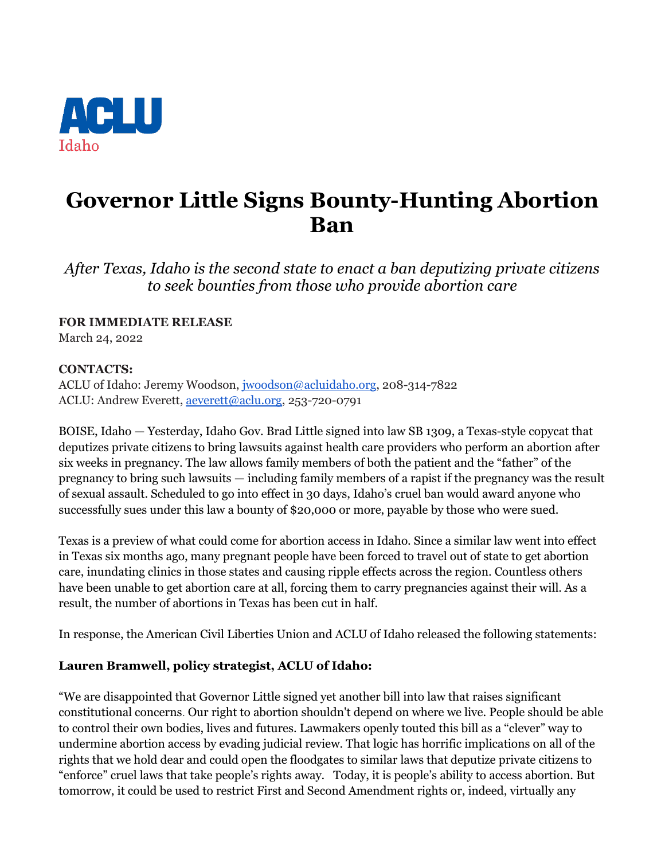

## **Governor Little Signs Bounty-Hunting Abortion Ban**

*After Texas, Idaho is the second state to enact a ban deputizing private citizens to seek bounties from those who provide abortion care*

**FOR IMMEDIATE RELEASE** 

March 24, 2022

## **CONTACTS:**

ACLU of Idaho: Jeremy Woodson, [jwoodson@acluidaho.org,](mailto:jwoodson@acluidao.org) 208-314-7822 ACLU: Andrew Everett, [aeverett@aclu.org,](mailto:aeverett@aclu.org) 253-720-0791

BOISE, Idaho — Yesterday, Idaho Gov. Brad Little signed into law SB 1309, a Texas-style copycat that deputizes private citizens to bring lawsuits against health care providers who perform an abortion after six weeks in pregnancy. The law allows family members of both the patient and the "father" of the pregnancy to bring such lawsuits — including family members of a rapist if the pregnancy was the result of sexual assault. Scheduled to go into effect in 30 days, Idaho's cruel ban would award anyone who successfully sues under this law a bounty of \$20,000 or more, payable by those who were sued.

Texas is a preview of what could come for abortion access in Idaho. Since a similar law went into effect in Texas six months ago, many pregnant people have been forced to travel out of state to get abortion care, inundating clinics in those states and causing ripple effects across the region. Countless others have been unable to get abortion care at all, forcing them to carry pregnancies against their will. As a result, the number of abortions in Texas has been cut in half.

In response, the American Civil Liberties Union and ACLU of Idaho released the following statements:

## **Lauren Bramwell, policy strategist, ACLU of Idaho:**

"We are disappointed that Governor Little signed yet another bill into law that raises significant constitutional concerns. Our right to abortion shouldn't depend on where we live. People should be able to control their own bodies, lives and futures. Lawmakers openly touted this bill as a "clever" way to undermine abortion access by evading judicial review. That logic has horrific implications on all of the rights that we hold dear and could open the floodgates to similar laws that deputize private citizens to "enforce" cruel laws that take people's rights away. Today, it is people's ability to access abortion. But tomorrow, it could be used to restrict First and Second Amendment rights or, indeed, virtually any